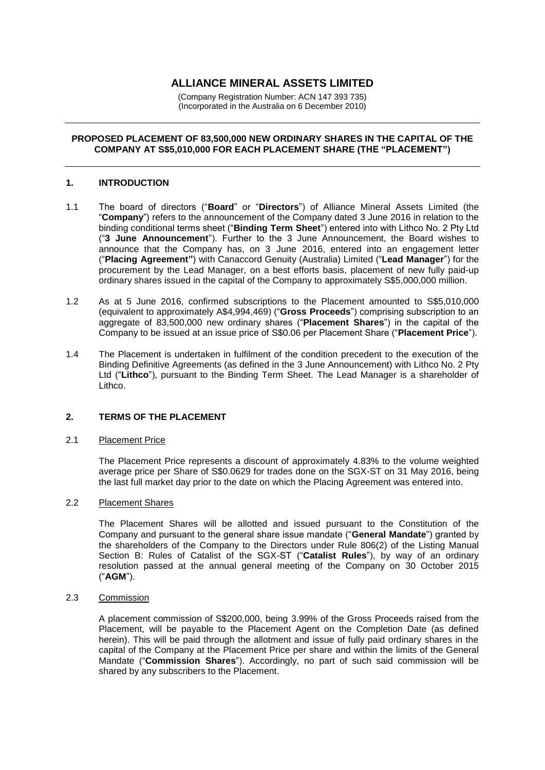# **ALLIANCE MINERAL ASSETS LIMITED**

(Company Registration Number: ACN 147 393 735) (Incorporated in the Australia on 6 December 2010)

# **PROPOSED PLACEMENT OF 83,500,000 NEW ORDINARY SHARES IN THE CAPITAL OF THE COMPANY AT S\$5,010,000 FOR EACH PLACEMENT SHARE (THE "PLACEMENT")**

# **1. INTRODUCTION**

- 1.1 The board of directors ("**Board**" or "**Directors**") of Alliance Mineral Assets Limited (the "**Company**") refers to the announcement of the Company dated 3 June 2016 in relation to the binding conditional terms sheet ("**Binding Term Sheet**") entered into with Lithco No. 2 Pty Ltd ("**3 June Announcement**"). Further to the 3 June Announcement, the Board wishes to announce that the Company has, on 3 June 2016, entered into an engagement letter ("**Placing Agreement"**) with Canaccord Genuity (Australia) Limited ("**Lead Manager**") for the procurement by the Lead Manager, on a best efforts basis, placement of new fully paid-up ordinary shares issued in the capital of the Company to approximately S\$5,000,000 million.
- 1.2 As at 5 June 2016, confirmed subscriptions to the Placement amounted to S\$5,010,000 (equivalent to approximately A\$4,994,469) ("**Gross Proceeds**") comprising subscription to an aggregate of 83,500,000 new ordinary shares ("**Placement Shares**") in the capital of the Company to be issued at an issue price of S\$0.06 per Placement Share ("**Placement Price**").
- 1.4 The Placement is undertaken in fulfilment of the condition precedent to the execution of the Binding Definitive Agreements (as defined in the 3 June Announcement) with Lithco No. 2 Pty Ltd ("**Lithco**"), pursuant to the Binding Term Sheet. The Lead Manager is a shareholder of Lithco.

### **2. TERMS OF THE PLACEMENT**

#### 2.1 Placement Price

The Placement Price represents a discount of approximately 4.83% to the volume weighted average price per Share of S\$0.0629 for trades done on the SGX-ST on 31 May 2016, being the last full market day prior to the date on which the Placing Agreement was entered into.

# 2.2 Placement Shares

The Placement Shares will be allotted and issued pursuant to the Constitution of the Company and pursuant to the general share issue mandate ("**General Mandate**") granted by the shareholders of the Company to the Directors under Rule 806(2) of the Listing Manual Section B: Rules of Catalist of the SGX-ST ("**Catalist Rules**"), by way of an ordinary resolution passed at the annual general meeting of the Company on 30 October 2015 ("**AGM**").

#### 2.3 Commission

A placement commission of S\$200,000, being 3.99% of the Gross Proceeds raised from the Placement, will be payable to the Placement Agent on the Completion Date (as defined herein). This will be paid through the allotment and issue of fully paid ordinary shares in the capital of the Company at the Placement Price per share and within the limits of the General Mandate ("**Commission Shares**"). Accordingly, no part of such said commission will be shared by any subscribers to the Placement.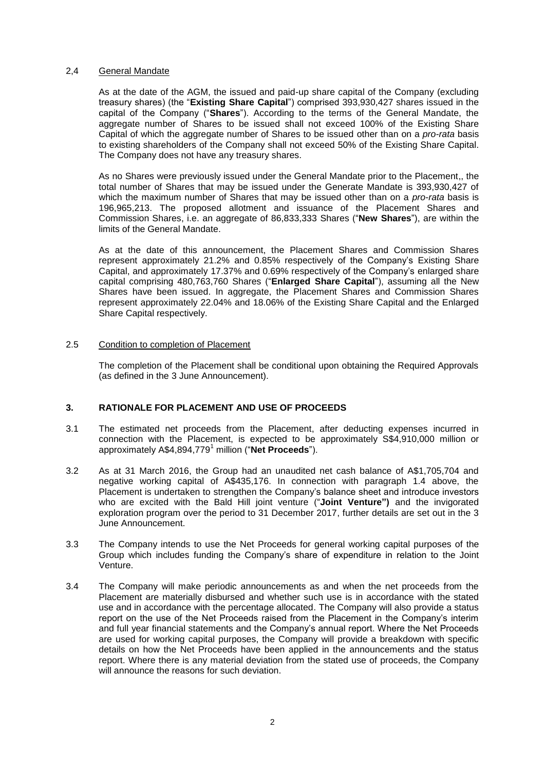# 2,4 General Mandate

As at the date of the AGM, the issued and paid-up share capital of the Company (excluding treasury shares) (the "**Existing Share Capital**") comprised 393,930,427 shares issued in the capital of the Company ("**Shares**"). According to the terms of the General Mandate, the aggregate number of Shares to be issued shall not exceed 100% of the Existing Share Capital of which the aggregate number of Shares to be issued other than on a *pro-rata* basis to existing shareholders of the Company shall not exceed 50% of the Existing Share Capital. The Company does not have any treasury shares.

As no Shares were previously issued under the General Mandate prior to the Placement,, the total number of Shares that may be issued under the Generate Mandate is 393,930,427 of which the maximum number of Shares that may be issued other than on a *pro-rata* basis is 196,965,213. The proposed allotment and issuance of the Placement Shares and Commission Shares, i.e. an aggregate of 86,833,333 Shares ("**New Shares**"), are within the limits of the General Mandate.

As at the date of this announcement, the Placement Shares and Commission Shares represent approximately 21.2% and 0.85% respectively of the Company's Existing Share Capital, and approximately 17.37% and 0.69% respectively of the Company's enlarged share capital comprising 480,763,760 Shares ("**Enlarged Share Capital**"), assuming all the New Shares have been issued. In aggregate, the Placement Shares and Commission Shares represent approximately 22.04% and 18.06% of the Existing Share Capital and the Enlarged Share Capital respectively.

# 2.5 Condition to completion of Placement

The completion of the Placement shall be conditional upon obtaining the Required Approvals (as defined in the 3 June Announcement).

# **3. RATIONALE FOR PLACEMENT AND USE OF PROCEEDS**

- 3.1 The estimated net proceeds from the Placement, after deducting expenses incurred in connection with the Placement, is expected to be approximately S\$4,910,000 million or approximately A\$4,894,779<sup>1</sup> million ("**Net Proceeds**").
- 3.2 As at 31 March 2016, the Group had an unaudited net cash balance of A\$1,705,704 and negative working capital of A\$435,176. In connection with paragraph 1.4 above, the Placement is undertaken to strengthen the Company's balance sheet and introduce investors who are excited with the Bald Hill joint venture ("**Joint Venture")** and the invigorated exploration program over the period to 31 December 2017, further details are set out in the 3 June Announcement.
- 3.3 The Company intends to use the Net Proceeds for general working capital purposes of the Group which includes funding the Company's share of expenditure in relation to the Joint Venture.
- 3.4 The Company will make periodic announcements as and when the net proceeds from the Placement are materially disbursed and whether such use is in accordance with the stated use and in accordance with the percentage allocated. The Company will also provide a status report on the use of the Net Proceeds raised from the Placement in the Company's interim and full year financial statements and the Company's annual report. Where the Net Proceeds are used for working capital purposes, the Company will provide a breakdown with specific details on how the Net Proceeds have been applied in the announcements and the status report. Where there is any material deviation from the stated use of proceeds, the Company will announce the reasons for such deviation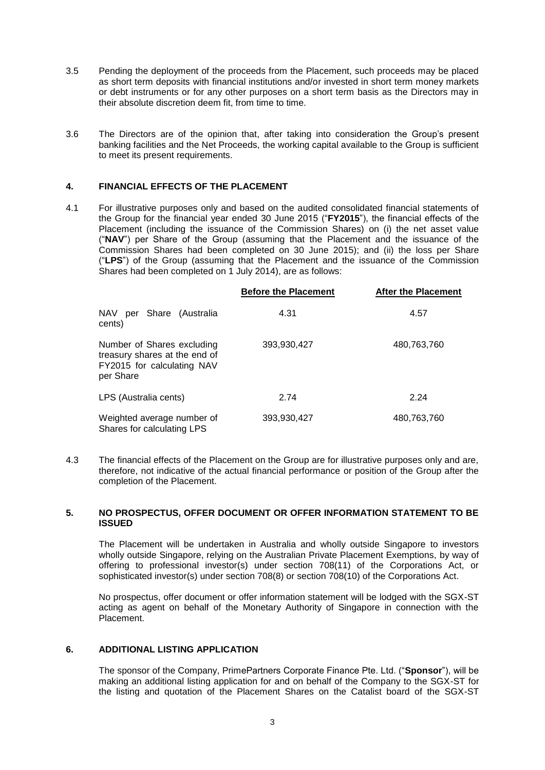- 3.5 Pending the deployment of the proceeds from the Placement, such proceeds may be placed as short term deposits with financial institutions and/or invested in short term money markets or debt instruments or for any other purposes on a short term basis as the Directors may in their absolute discretion deem fit, from time to time.
- 3.6 The Directors are of the opinion that, after taking into consideration the Group's present banking facilities and the Net Proceeds, the working capital available to the Group is sufficient to meet its present requirements.

# **4. FINANCIAL EFFECTS OF THE PLACEMENT**

4.1 For illustrative purposes only and based on the audited consolidated financial statements of the Group for the financial year ended 30 June 2015 ("**FY2015**"), the financial effects of the Placement (including the issuance of the Commission Shares) on (i) the net asset value ("**NAV**") per Share of the Group (assuming that the Placement and the issuance of the Commission Shares had been completed on 30 June 2015); and (ii) the loss per Share ("**LPS**") of the Group (assuming that the Placement and the issuance of the Commission Shares had been completed on 1 July 2014), are as follows:

|                                                                                                        | <b>Before the Placement</b> | <b>After the Placement</b> |
|--------------------------------------------------------------------------------------------------------|-----------------------------|----------------------------|
| <b>NAV</b><br>per Share (Australia<br>cents)                                                           | 4.31                        | 4.57                       |
| Number of Shares excluding<br>treasury shares at the end of<br>FY2015 for calculating NAV<br>per Share | 393,930,427                 | 480,763,760                |
| LPS (Australia cents)                                                                                  | 2.74                        | 2.24                       |
| Weighted average number of<br>Shares for calculating LPS                                               | 393,930,427                 | 480,763,760                |

4.3 The financial effects of the Placement on the Group are for illustrative purposes only and are, therefore, not indicative of the actual financial performance or position of the Group after the completion of the Placement.

#### **5. NO PROSPECTUS, OFFER DOCUMENT OR OFFER INFORMATION STATEMENT TO BE ISSUED**

The Placement will be undertaken in Australia and wholly outside Singapore to investors wholly outside Singapore, relying on the Australian Private Placement Exemptions, by way of offering to professional investor(s) under section 708(11) of the Corporations Act, or sophisticated investor(s) under section 708(8) or section 708(10) of the Corporations Act.

No prospectus, offer document or offer information statement will be lodged with the SGX-ST acting as agent on behalf of the Monetary Authority of Singapore in connection with the Placement.

# **6. ADDITIONAL LISTING APPLICATION**

The sponsor of the Company, PrimePartners Corporate Finance Pte. Ltd. ("**Sponsor**"), will be making an additional listing application for and on behalf of the Company to the SGX-ST for the listing and quotation of the Placement Shares on the Catalist board of the SGX-ST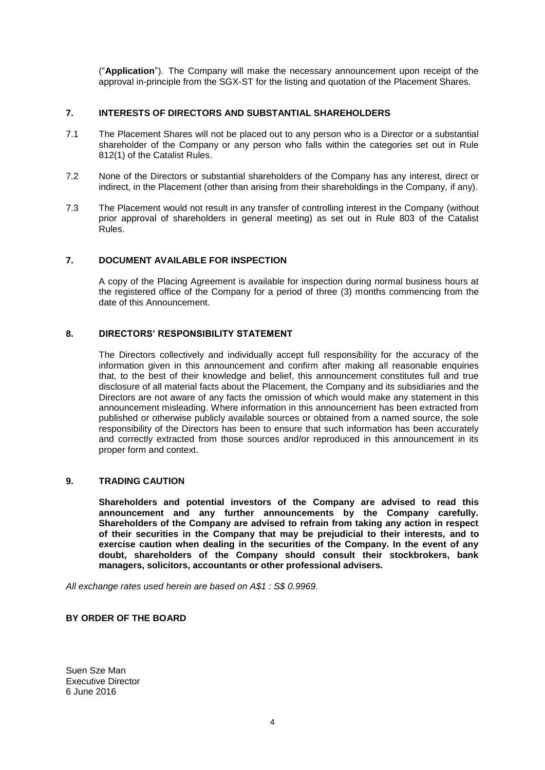("**Application**"). The Company will make the necessary announcement upon receipt of the approval in-principle from the SGX-ST for the listing and quotation of the Placement Shares.

# **7. INTERESTS OF DIRECTORS AND SUBSTANTIAL SHAREHOLDERS**

- 7.1 The Placement Shares will not be placed out to any person who is a Director or a substantial shareholder of the Company or any person who falls within the categories set out in Rule 812(1) of the Catalist Rules.
- 7.2 None of the Directors or substantial shareholders of the Company has any interest, direct or indirect, in the Placement (other than arising from their shareholdings in the Company, if any).
- 7.3 The Placement would not result in any transfer of controlling interest in the Company (without prior approval of shareholders in general meeting) as set out in Rule 803 of the Catalist Rules.

# **7. DOCUMENT AVAILABLE FOR INSPECTION**

A copy of the Placing Agreement is available for inspection during normal business hours at the registered office of the Company for a period of three (3) months commencing from the date of this Announcement.

# **8. DIRECTORS' RESPONSIBILITY STATEMENT**

The Directors collectively and individually accept full responsibility for the accuracy of the information given in this announcement and confirm after making all reasonable enquiries that, to the best of their knowledge and belief, this announcement constitutes full and true disclosure of all material facts about the Placement, the Company and its subsidiaries and the Directors are not aware of any facts the omission of which would make any statement in this announcement misleading. Where information in this announcement has been extracted from published or otherwise publicly available sources or obtained from a named source, the sole responsibility of the Directors has been to ensure that such information has been accurately and correctly extracted from those sources and/or reproduced in this announcement in its proper form and context.

# **9. TRADING CAUTION**

**Shareholders and potential investors of the Company are advised to read this announcement and any further announcements by the Company carefully. Shareholders of the Company are advised to refrain from taking any action in respect of their securities in the Company that may be prejudicial to their interests, and to exercise caution when dealing in the securities of the Company. In the event of any doubt, shareholders of the Company should consult their stockbrokers, bank managers, solicitors, accountants or other professional advisers.**

*All exchange rates used herein are based on A\$1 : S\$ 0.9969.*

# **BY ORDER OF THE BOARD**

Suen Sze Man Executive Director 6 June 2016